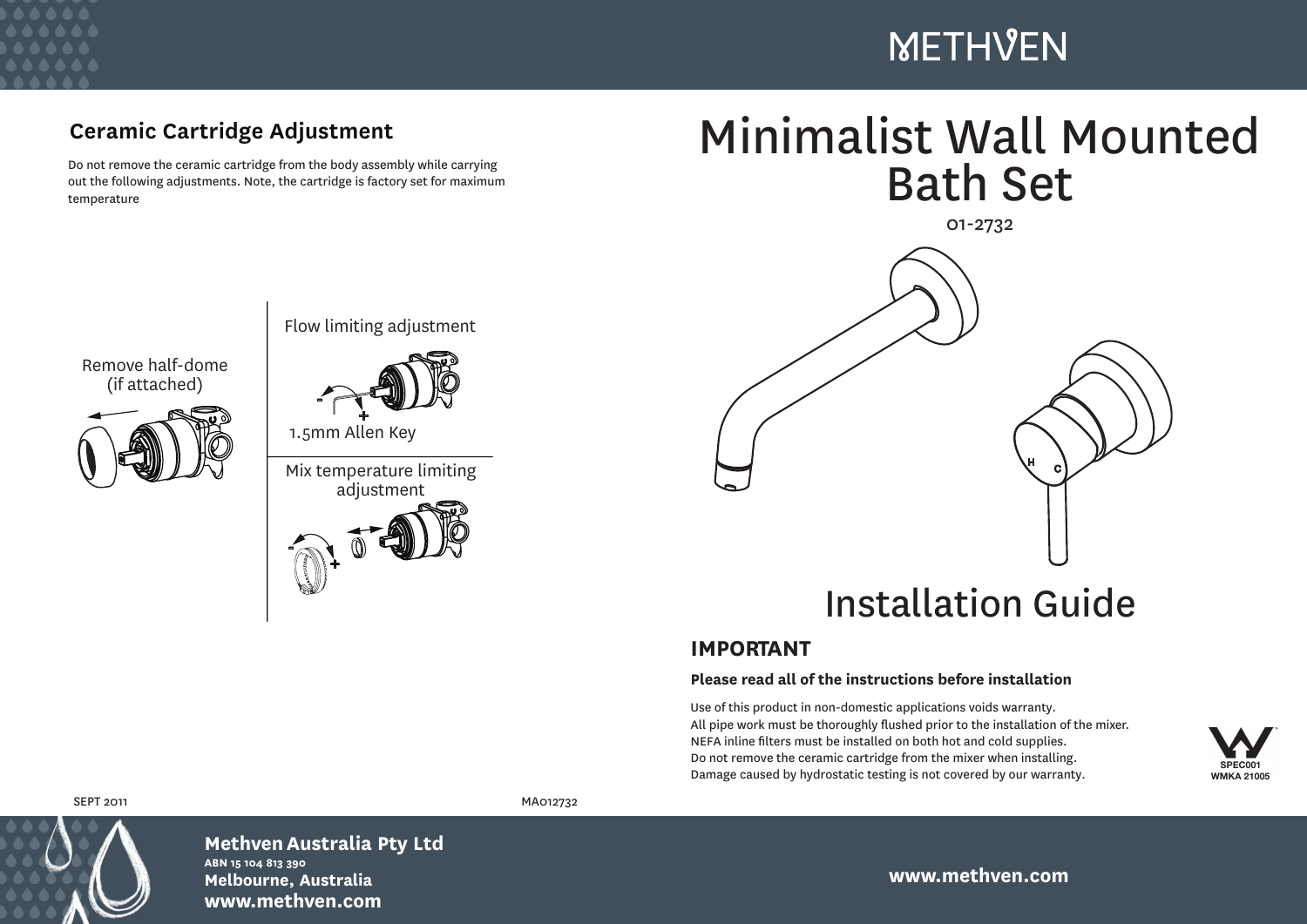

# **METHVEN**

## **Ceramic Cartridge Adjustment**

Do not remove the ceramic cartridge from the body assembly while carrying out the following adjustments. Note, the cartridge is factory set for maximum temperature

-





Flow limiting adjustment



1.5mm Allen Key

+

Mix temperature limiting adjustment



01-2732



# Installation Guide

### **IMPORTANT**

#### **Please read all of the instructions before installation**

Use of this product in non-domestic applications voids warranty. All pipe work must be thoroughly flushed prior to the installation of the mixer. NEFA inline filters must be installed on both hot and cold supplies. Do not remove the ceramic cartridge from the mixer when installing. Damage caused by hydrostatic testing is not covered by our warranty.





**Methven Australia Pty Ltd ABN 15 104 813 390 Melbourne, Australia www.methven.com**

SEPT 2011 MA012732